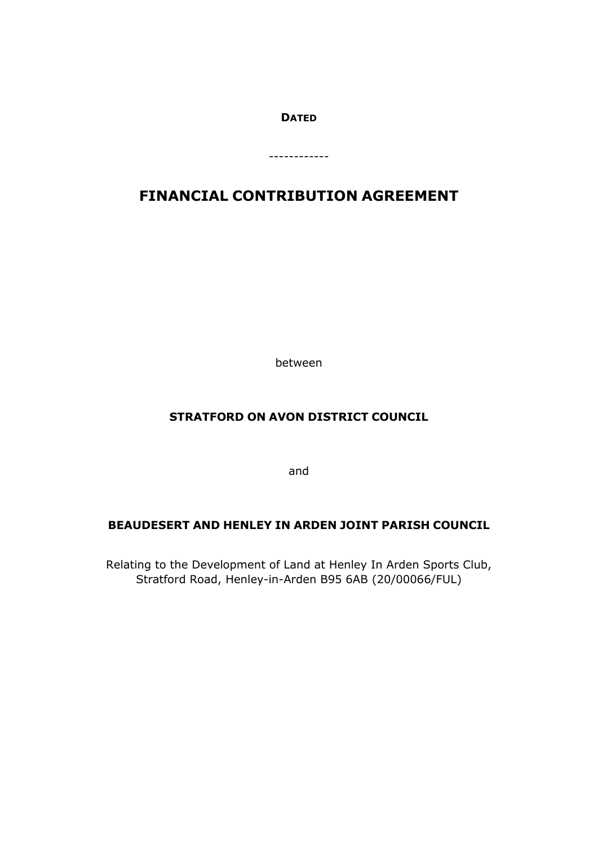## **DATED**

------------

# **FINANCIAL CONTRIBUTION AGREEMENT**

between

## **STRATFORD ON AVON DISTRICT COUNCIL**

and

## **BEAUDESERT AND HENLEY IN ARDEN JOINT PARISH COUNCIL**

Relating to the Development of Land at Henley In Arden Sports Club, Stratford Road, Henley-in-Arden B95 6AB (20/00066/FUL)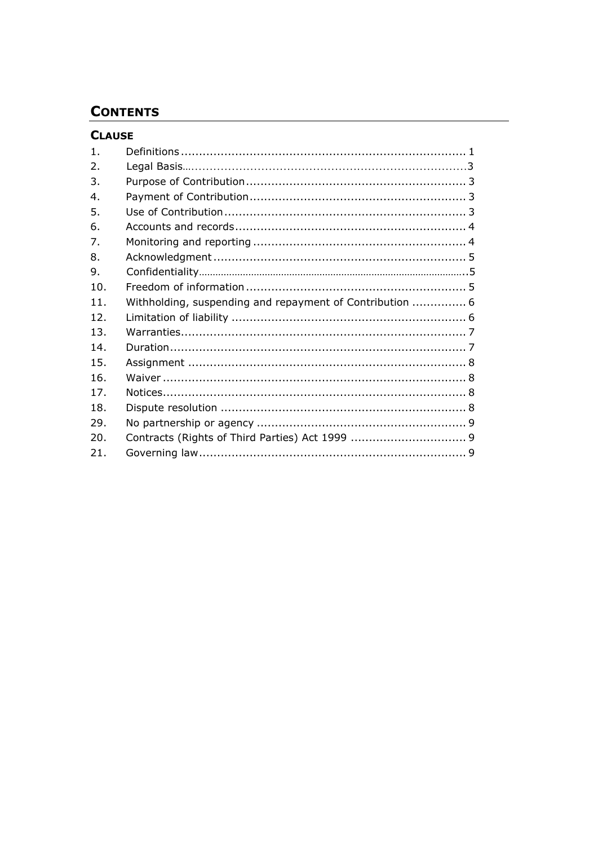## **CONTENTS**

## **CLAUSE**

| 1.  |                                                          |  |
|-----|----------------------------------------------------------|--|
| 2.  |                                                          |  |
| 3.  |                                                          |  |
| 4.  |                                                          |  |
| 5.  |                                                          |  |
| 6.  |                                                          |  |
| 7.  |                                                          |  |
| 8.  |                                                          |  |
| 9.  |                                                          |  |
| 10. |                                                          |  |
| 11. | Withholding, suspending and repayment of Contribution  6 |  |
| 12. |                                                          |  |
| 13. |                                                          |  |
| 14. |                                                          |  |
| 15. |                                                          |  |
| 16. |                                                          |  |
| 17. |                                                          |  |
| 18. |                                                          |  |
| 29. |                                                          |  |
| 20. |                                                          |  |
| 21. |                                                          |  |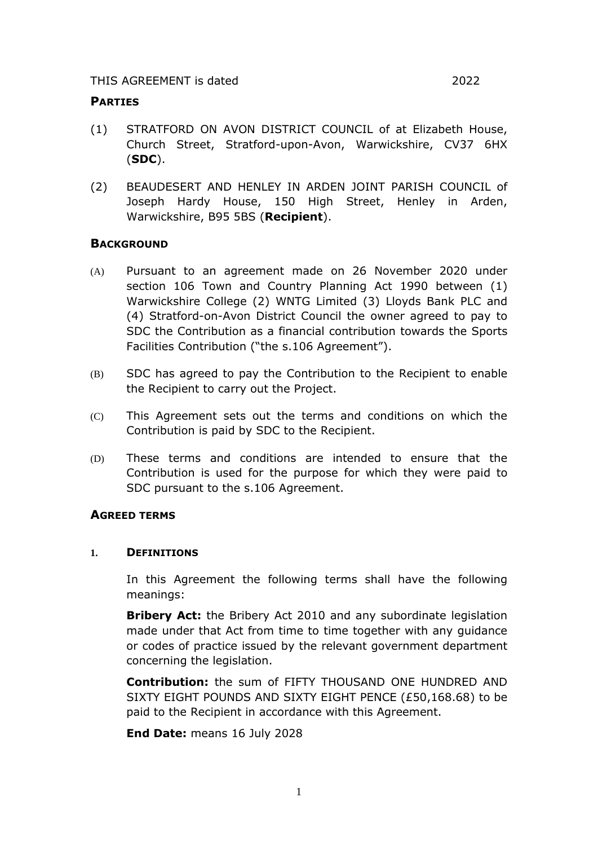#### **PARTIES**

- (1) STRATFORD ON AVON DISTRICT COUNCIL of at Elizabeth House, Church Street, Stratford-upon-Avon, Warwickshire, CV37 6HX (**SDC**).
- (2) BEAUDESERT AND HENLEY IN ARDEN JOINT PARISH COUNCIL of Joseph Hardy House, 150 High Street, Henley in Arden, Warwickshire, B95 5BS (**Recipient**).

## **BACKGROUND**

- (A) Pursuant to an agreement made on 26 November 2020 under section 106 Town and Country Planning Act 1990 between (1) Warwickshire College (2) WNTG Limited (3) Lloyds Bank PLC and (4) Stratford-on-Avon District Council the owner agreed to pay to SDC the Contribution as a financial contribution towards the Sports Facilities Contribution ("the s.106 Agreement").
- (B) SDC has agreed to pay the Contribution to the Recipient to enable the Recipient to carry out the Project.
- (C) This Agreement sets out the terms and conditions on which the Contribution is paid by SDC to the Recipient.
- (D) These terms and conditions are intended to ensure that the Contribution is used for the purpose for which they were paid to SDC pursuant to the s.106 Agreement.

## **AGREED TERMS**

#### **1. DEFINITIONS**

In this Agreement the following terms shall have the following meanings:

**Bribery Act:** the Bribery Act 2010 and any subordinate legislation made under that Act from time to time together with any guidance or codes of practice issued by the relevant government department concerning the legislation.

**Contribution:** the sum of FIFTY THOUSAND ONE HUNDRED AND SIXTY EIGHT POUNDS AND SIXTY EIGHT PENCE (£50,168.68) to be paid to the Recipient in accordance with this Agreement.

**End Date:** means 16 July 2028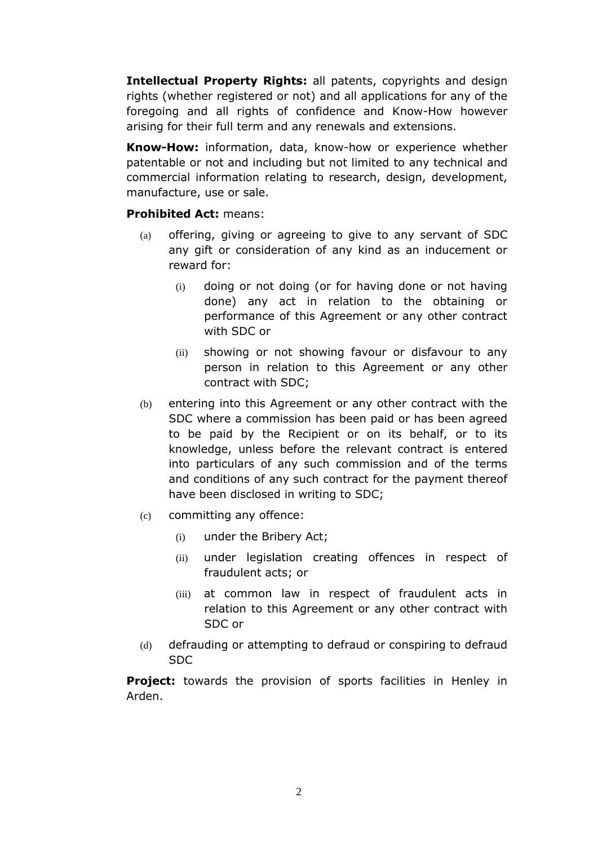**Intellectual Property Rights:** all patents, copyrights and design rights (whether registered or not) and all applications for any of the foregoing and all rights of confidence and Know-How however arising for their full term and any renewals and extensions.

**Know-How:** information, data, know-how or experience whether patentable or not and including but not limited to any technical and commercial information relating to research, design, development, manufacture, use or sale.

## **Prohibited Act:** means:

- (a) offering, giving or agreeing to give to any servant of SDC any gift or consideration of any kind as an inducement or reward for:
	- (i) doing or not doing (or for having done or not having done) any act in relation to the obtaining or performance of this Agreement or any other contract with SDC or
	- (ii) showing or not showing favour or disfavour to any person in relation to this Agreement or any other contract with SDC;
- (b) entering into this Agreement or any other contract with the SDC where a commission has been paid or has been agreed to be paid by the Recipient or on its behalf, or to its knowledge, unless before the relevant contract is entered into particulars of any such commission and of the terms and conditions of any such contract for the payment thereof have been disclosed in writing to SDC;
- (c) committing any offence:
	- (i) under the Bribery Act;
	- (ii) under legislation creating offences in respect of fraudulent acts; or
	- (iii) at common law in respect of fraudulent acts in relation to this Agreement or any other contract with SDC or
- (d) defrauding or attempting to defraud or conspiring to defraud SDC

**Project:** towards the provision of sports facilities in Henley in Arden.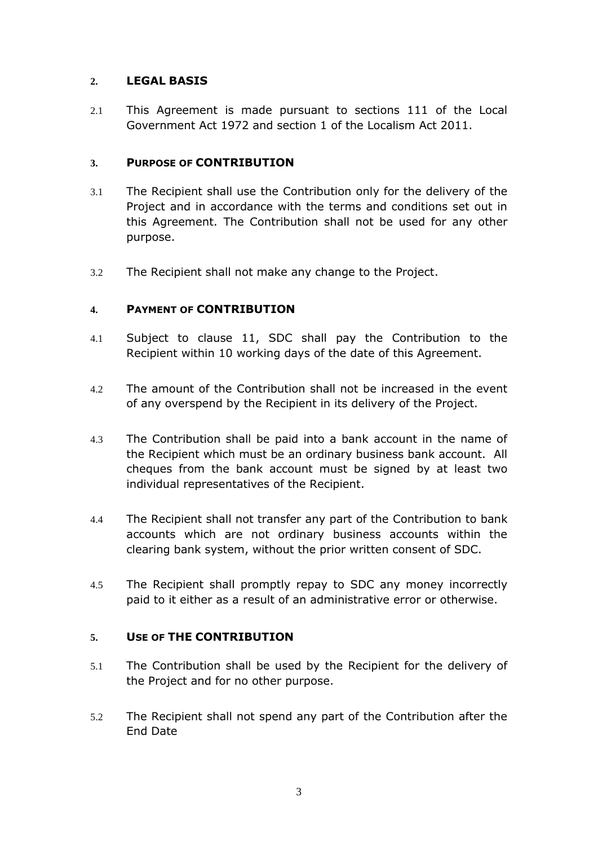## **2. LEGAL BASIS**

2.1 This Agreement is made pursuant to sections 111 of the Local Government Act 1972 and section 1 of the Localism Act 2011.

## **3. PURPOSE OF CONTRIBUTION**

- 3.1 The Recipient shall use the Contribution only for the delivery of the Project and in accordance with the terms and conditions set out in this Agreement. The Contribution shall not be used for any other purpose.
- 3.2 The Recipient shall not make any change to the Project.

## **4. PAYMENT OF CONTRIBUTION**

- 4.1 Subject to clause [11,](#page-7-0) SDC shall pay the Contribution to the Recipient within 10 working days of the date of this Agreement.
- 4.2 The amount of the Contribution shall not be increased in the event of any overspend by the Recipient in its delivery of the Project.
- 4.3 The Contribution shall be paid into a bank account in the name of the Recipient which must be an ordinary business bank account. All cheques from the bank account must be signed by at least two individual representatives of the Recipient.
- 4.4 The Recipient shall not transfer any part of the Contribution to bank accounts which are not ordinary business accounts within the clearing bank system, without the prior written consent of SDC.
- 4.5 The Recipient shall promptly repay to SDC any money incorrectly paid to it either as a result of an administrative error or otherwise.

## **5. USE OF THE CONTRIBUTION**

- 5.1 The Contribution shall be used by the Recipient for the delivery of the Project and for no other purpose.
- 5.2 The Recipient shall not spend any part of the Contribution after the End Date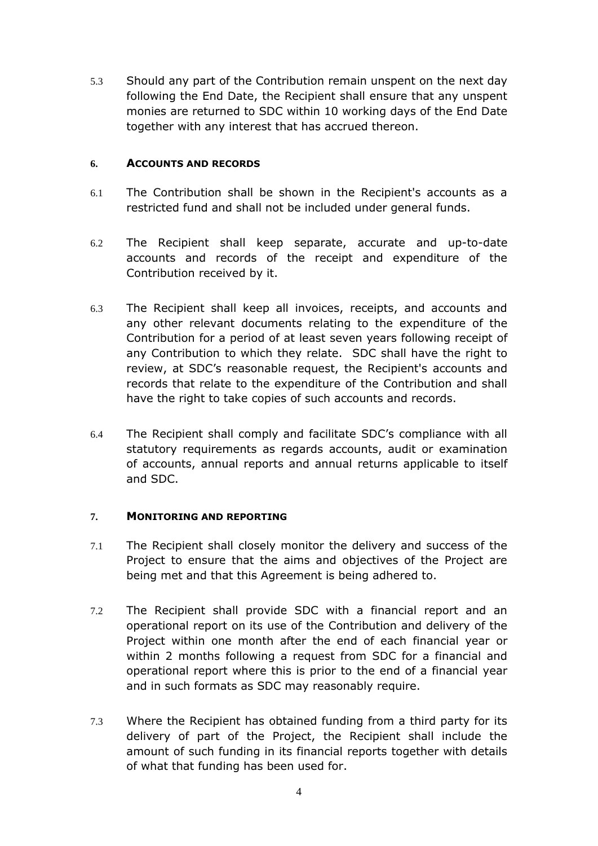5.3 Should any part of the Contribution remain unspent on the next day following the End Date, the Recipient shall ensure that any unspent monies are returned to SDC within 10 working days of the End Date together with any interest that has accrued thereon.

## **6. ACCOUNTS AND RECORDS**

- 6.1 The Contribution shall be shown in the Recipient's accounts as a restricted fund and shall not be included under general funds.
- 6.2 The Recipient shall keep separate, accurate and up-to-date accounts and records of the receipt and expenditure of the Contribution received by it.
- 6.3 The Recipient shall keep all invoices, receipts, and accounts and any other relevant documents relating to the expenditure of the Contribution for a period of at least seven years following receipt of any Contribution to which they relate. SDC shall have the right to review, at SDC's reasonable request, the Recipient's accounts and records that relate to the expenditure of the Contribution and shall have the right to take copies of such accounts and records.
- 6.4 The Recipient shall comply and facilitate SDC's compliance with all statutory requirements as regards accounts, audit or examination of accounts, annual reports and annual returns applicable to itself and SDC.

## **7. MONITORING AND REPORTING**

- 7.1 The Recipient shall closely monitor the delivery and success of the Project to ensure that the aims and objectives of the Project are being met and that this Agreement is being adhered to.
- 7.2 The Recipient shall provide SDC with a financial report and an operational report on its use of the Contribution and delivery of the Project within one month after the end of each financial year or within 2 months following a request from SDC for a financial and operational report where this is prior to the end of a financial year and in such formats as SDC may reasonably require.
- 7.3 Where the Recipient has obtained funding from a third party for its delivery of part of the Project, the Recipient shall include the amount of such funding in its financial reports together with details of what that funding has been used for.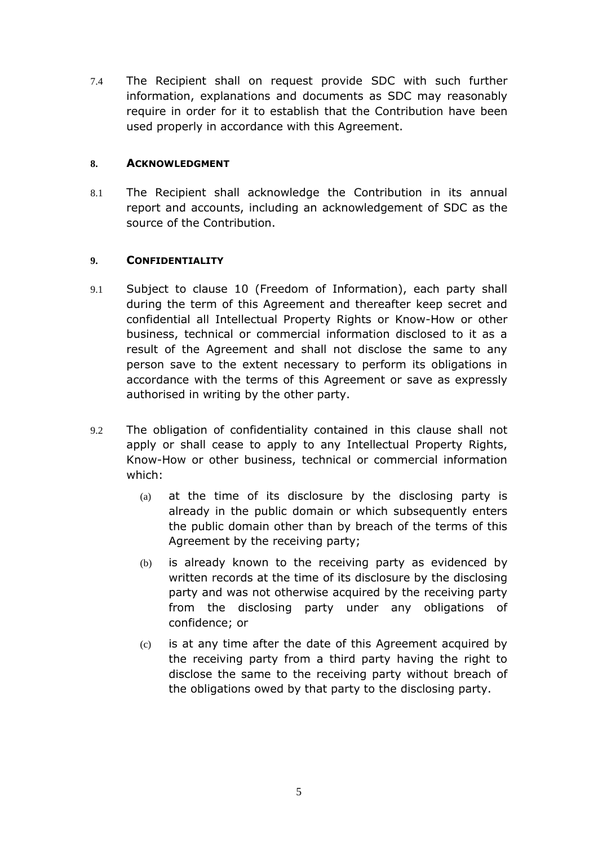7.4 The Recipient shall on request provide SDC with such further information, explanations and documents as SDC may reasonably require in order for it to establish that the Contribution have been used properly in accordance with this Agreement.

## **8. ACKNOWLEDGMENT**

8.1 The Recipient shall acknowledge the Contribution in its annual report and accounts, including an acknowledgement of SDC as the source of the Contribution.

## **9. CONFIDENTIALITY**

- 9.1 Subject to clause [10](#page-7-1) (Freedom of Information), each party shall during the term of this Agreement and thereafter keep secret and confidential all Intellectual Property Rights or Know-How or other business, technical or commercial information disclosed to it as a result of the Agreement and shall not disclose the same to any person save to the extent necessary to perform its obligations in accordance with the terms of this Agreement or save as expressly authorised in writing by the other party.
- 9.2 The obligation of confidentiality contained in this clause shall not apply or shall cease to apply to any Intellectual Property Rights, Know-How or other business, technical or commercial information which:
	- (a) at the time of its disclosure by the disclosing party is already in the public domain or which subsequently enters the public domain other than by breach of the terms of this Agreement by the receiving party;
	- (b) is already known to the receiving party as evidenced by written records at the time of its disclosure by the disclosing party and was not otherwise acquired by the receiving party from the disclosing party under any obligations of confidence; or
	- (c) is at any time after the date of this Agreement acquired by the receiving party from a third party having the right to disclose the same to the receiving party without breach of the obligations owed by that party to the disclosing party.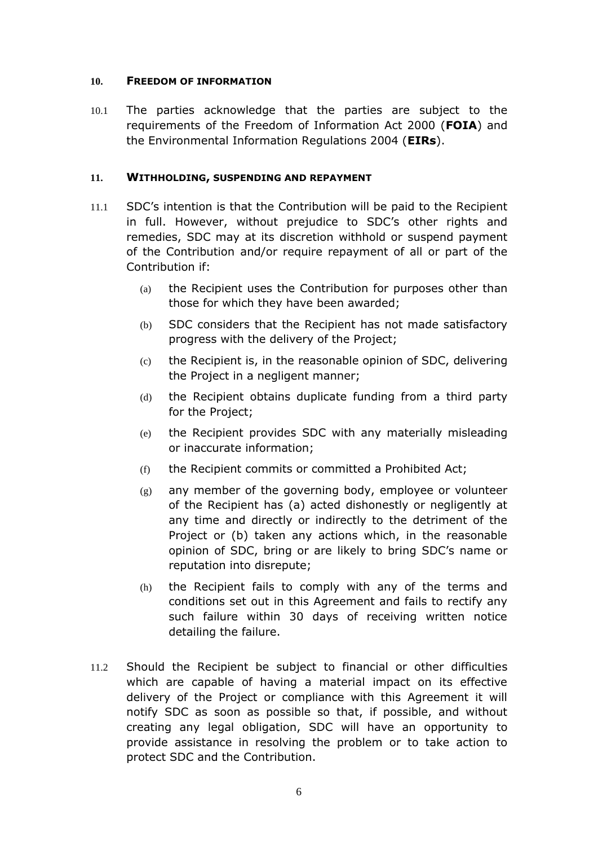#### <span id="page-7-1"></span>**10. FREEDOM OF INFORMATION**

10.1 The parties acknowledge that the parties are subject to the requirements of the Freedom of Information Act 2000 (**FOIA**) and the Environmental Information Regulations 2004 (**EIRs**).

## <span id="page-7-0"></span>**11. WITHHOLDING, SUSPENDING AND REPAYMENT**

- 11.1 SDC's intention is that the Contribution will be paid to the Recipient in full. However, without prejudice to SDC's other rights and remedies, SDC may at its discretion withhold or suspend payment of the Contribution and/or require repayment of all or part of the Contribution if:
	- (a) the Recipient uses the Contribution for purposes other than those for which they have been awarded;
	- (b) SDC considers that the Recipient has not made satisfactory progress with the delivery of the Project;
	- (c) the Recipient is, in the reasonable opinion of SDC, delivering the Project in a negligent manner;
	- (d) the Recipient obtains duplicate funding from a third party for the Project;
	- (e) the Recipient provides SDC with any materially misleading or inaccurate information;
	- (f) the Recipient commits or committed a Prohibited Act;
	- $(g)$  any member of the governing body, employee or volunteer of the Recipient has (a) acted dishonestly or negligently at any time and directly or indirectly to the detriment of the Project or (b) taken any actions which, in the reasonable opinion of SDC, bring or are likely to bring SDC's name or reputation into disrepute;
	- (h) the Recipient fails to comply with any of the terms and conditions set out in this Agreement and fails to rectify any such failure within 30 days of receiving written notice detailing the failure.
- 11.2 Should the Recipient be subject to financial or other difficulties which are capable of having a material impact on its effective delivery of the Project or compliance with this Agreement it will notify SDC as soon as possible so that, if possible, and without creating any legal obligation, SDC will have an opportunity to provide assistance in resolving the problem or to take action to protect SDC and the Contribution.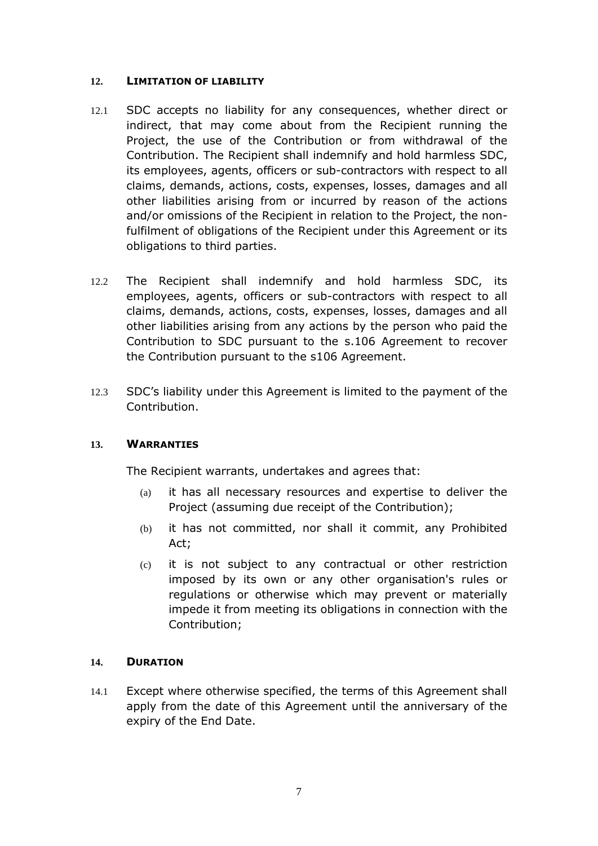#### **12. LIMITATION OF LIABILITY**

- 12.1 SDC accepts no liability for any consequences, whether direct or indirect, that may come about from the Recipient running the Project, the use of the Contribution or from withdrawal of the Contribution. The Recipient shall indemnify and hold harmless SDC, its employees, agents, officers or sub-contractors with respect to all claims, demands, actions, costs, expenses, losses, damages and all other liabilities arising from or incurred by reason of the actions and/or omissions of the Recipient in relation to the Project, the nonfulfilment of obligations of the Recipient under this Agreement or its obligations to third parties.
- 12.2 The Recipient shall indemnify and hold harmless SDC, its employees, agents, officers or sub-contractors with respect to all claims, demands, actions, costs, expenses, losses, damages and all other liabilities arising from any actions by the person who paid the Contribution to SDC pursuant to the s.106 Agreement to recover the Contribution pursuant to the s106 Agreement.
- 12.3 SDC's liability under this Agreement is limited to the payment of the Contribution.

## **13. WARRANTIES**

The Recipient warrants, undertakes and agrees that:

- (a) it has all necessary resources and expertise to deliver the Project (assuming due receipt of the Contribution);
- (b) it has not committed, nor shall it commit, any Prohibited Act;
- (c) it is not subject to any contractual or other restriction imposed by its own or any other organisation's rules or regulations or otherwise which may prevent or materially impede it from meeting its obligations in connection with the Contribution;

#### **14. DURATION**

14.1 Except where otherwise specified, the terms of this Agreement shall apply from the date of this Agreement until the anniversary of the expiry of the End Date.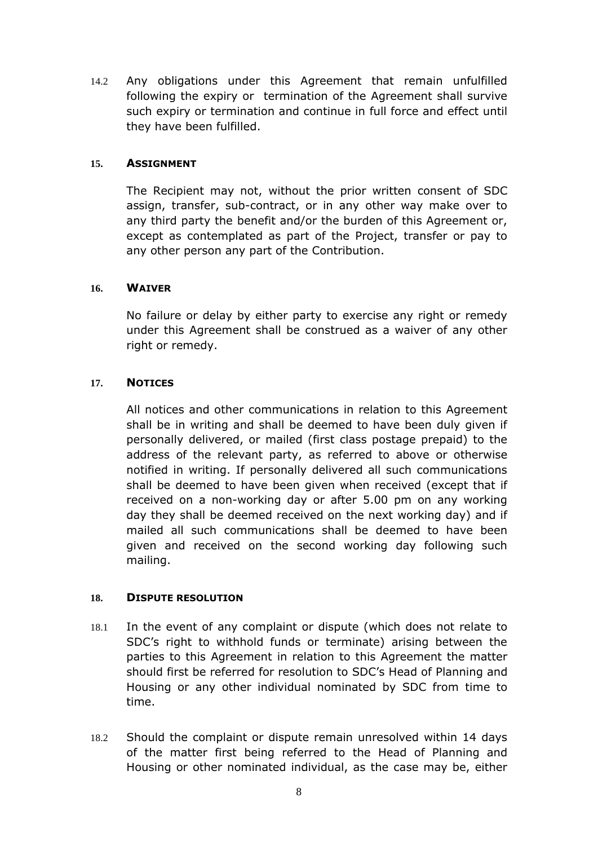14.2 Any obligations under this Agreement that remain unfulfilled following the expiry or termination of the Agreement shall survive such expiry or termination and continue in full force and effect until they have been fulfilled.

#### **15. ASSIGNMENT**

The Recipient may not, without the prior written consent of SDC assign, transfer, sub-contract, or in any other way make over to any third party the benefit and/or the burden of this Agreement or, except as contemplated as part of the Project, transfer or pay to any other person any part of the Contribution.

#### **16. WAIVER**

No failure or delay by either party to exercise any right or remedy under this Agreement shall be construed as a waiver of any other right or remedy.

## **17. NOTICES**

All notices and other communications in relation to this Agreement shall be in writing and shall be deemed to have been duly given if personally delivered, or mailed (first class postage prepaid) to the address of the relevant party, as referred to above or otherwise notified in writing. If personally delivered all such communications shall be deemed to have been given when received (except that if received on a non-working day or after 5.00 pm on any working day they shall be deemed received on the next working day) and if mailed all such communications shall be deemed to have been given and received on the second working day following such mailing.

#### **18. DISPUTE RESOLUTION**

- 18.1 In the event of any complaint or dispute (which does not relate to SDC's right to withhold funds or terminate) arising between the parties to this Agreement in relation to this Agreement the matter should first be referred for resolution to SDC's Head of Planning and Housing or any other individual nominated by SDC from time to time.
- <span id="page-9-0"></span>18.2 Should the complaint or dispute remain unresolved within 14 days of the matter first being referred to the Head of Planning and Housing or other nominated individual, as the case may be, either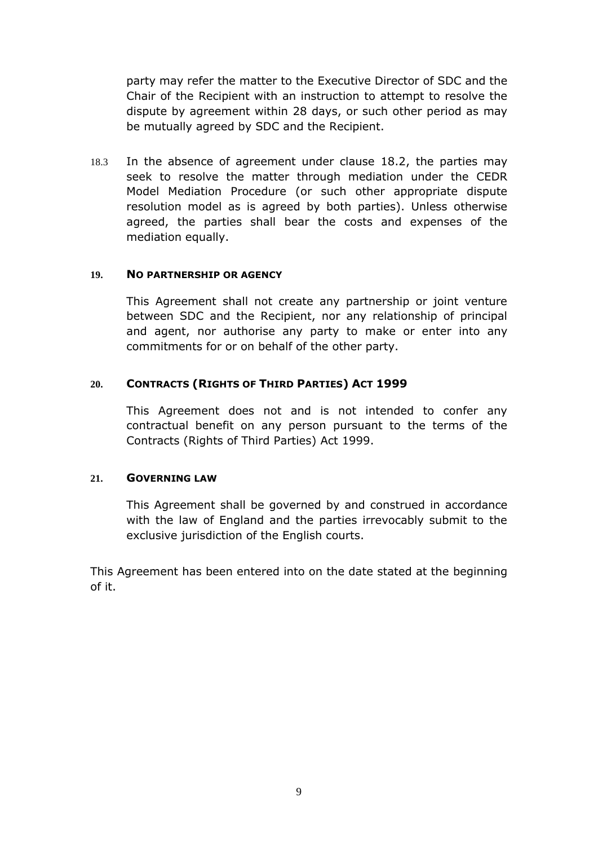party may refer the matter to the Executive Director of SDC and the Chair of the Recipient with an instruction to attempt to resolve the dispute by agreement within 28 days, or such other period as may be mutually agreed by SDC and the Recipient.

18.3 In the absence of agreement under clause [18.2,](#page-9-0) the parties may seek to resolve the matter through mediation under the CEDR Model Mediation Procedure (or such other appropriate dispute resolution model as is agreed by both parties). Unless otherwise agreed, the parties shall bear the costs and expenses of the mediation equally.

#### **19. NO PARTNERSHIP OR AGENCY**

This Agreement shall not create any partnership or joint venture between SDC and the Recipient, nor any relationship of principal and agent, nor authorise any party to make or enter into any commitments for or on behalf of the other party.

#### **20. CONTRACTS (RIGHTS OF THIRD PARTIES) ACT 1999**

This Agreement does not and is not intended to confer any contractual benefit on any person pursuant to the terms of the Contracts (Rights of Third Parties) Act 1999.

#### **21. GOVERNING LAW**

This Agreement shall be governed by and construed in accordance with the law of England and the parties irrevocably submit to the exclusive jurisdiction of the English courts.

This Agreement has been entered into on the date stated at the beginning of it.